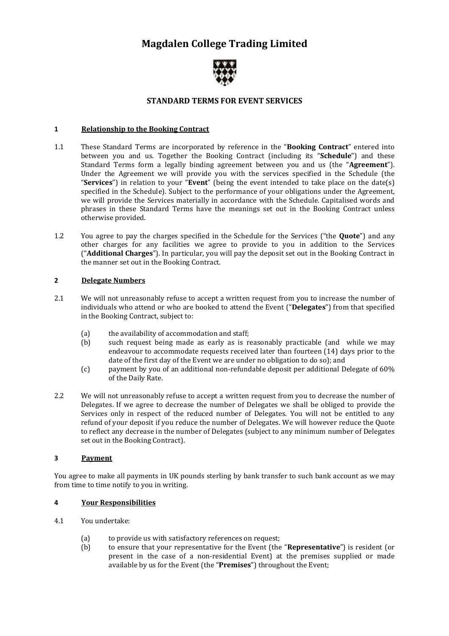# **Magdalen College Trading Limited**



# **STANDARD TERMS FOR EVENT SERVICES**

#### **1 Relationship to the Booking Contract**

- 1.1 These Standard Terms are incorporated by reference in the "**Booking Contract**" entered into between you and us. Together the Booking Contract (including its "**Schedule**") and these Standard Terms form a legally binding agreement between you and us (the "**Agreement**"). Under the Agreement we will provide you with the services specified in the Schedule (the "**Services**") in relation to your "**Event**" (being the event intended to take place on the date(s) specified in the Schedule). Subject to the performance of your obligations under the Agreement, we will provide the Services materially in accordance with the Schedule. Capitalised words and phrases in these Standard Terms have the meanings set out in the Booking Contract unless otherwise provided.
- 1.2 You agree to pay the charges specified in the Schedule for the Services ("the **Quote**") and any other charges for any facilities we agree to provide to you in addition to the Services ("**Additional Charges**"). In particular, you will pay the deposit set out in the Booking Contract in the manner set out in the Booking Contract.

## **2 Delegate Numbers**

- 2.1 We will not unreasonably refuse to accept a written request from you to increase the number of individuals who attend or who are booked to attend the Event ("**Delegates**") from that specified in the Booking Contract, subject to:
	- (a) the availability of accommodation and staff;<br>(b) such request being made as early as is re
	- such request being made as early as is reasonably practicable (and while we may endeavour to accommodate requests received later than fourteen (14) days prior to the date of the first day of the Event we are under no obligation to do so); and
	- (c) payment by you of an additional non-refundable deposit per additional Delegate of 60% of the Daily Rate.
- 2.2 We will not unreasonably refuse to accept a written request from you to decrease the number of Delegates. If we agree to decrease the number of Delegates we shall be obliged to provide the Services only in respect of the reduced number of Delegates. You will not be entitled to any refund of your deposit if you reduce the number of Delegates. We will however reduce the Quote to reflect any decrease in the number of Delegates (subject to any minimum number of Delegates set out in the Booking Contract).

#### **3 Payment**

You agree to make all payments in UK pounds sterling by bank transfer to such bank account as we may from time to time notify to you in writing.

#### **4 Your Responsibilities**

- 4.1 You undertake:
	- (a) to provide us with satisfactory references on request;
	- (b) to ensure that your representative for the Event (the "**Representative**") is resident (or present in the case of a non-residential Event) at the premises supplied or made available by us for the Event (the "**Premises**") throughout the Event;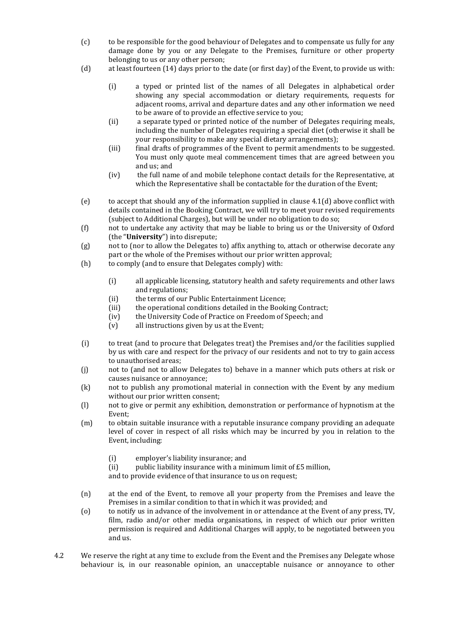- (c) to be responsible for the good behaviour of Delegates and to compensate us fully for any damage done by you or any Delegate to the Premises, furniture or other property belonging to us or any other person;
- (d) at least fourteen (14) days prior to the date (or first day) of the Event, to provide us with:
	- (i) a typed or printed list of the names of all Delegates in alphabetical order showing any special accommodation or dietary requirements, requests for adjacent rooms, arrival and departure dates and any other information we need to be aware of to provide an effective service to you;
	- (ii) a separate typed or printed notice of the number of Delegates requiring meals, including the number of Delegates requiring a special diet (otherwise it shall be your responsibility to make any special dietary arrangements);
	- (iii) final drafts of programmes of the Event to permit amendments to be suggested. You must only quote meal commencement times that are agreed between you and us; and
	- (iv) the full name of and mobile telephone contact details for the Representative, at which the Representative shall be contactable for the duration of the Event;
- (e) to accept that should any of the information supplied in clause 4.1(d) above conflict with details contained in the Booking Contract, we will try to meet your revised requirements (subject to Additional Charges), but will be under no obligation to do so;
- (f) not to undertake any activity that may be liable to bring us or the University of Oxford (the "**University**") into disrepute;
- (g) not to (nor to allow the Delegates to) affix anything to, attach or otherwise decorate any part or the whole of the Premises without our prior written approval;
- (h) to comply (and to ensure that Delegates comply) with:
	- (i) all applicable licensing, statutory health and safety requirements and other laws and regulations;
	- (ii) the terms of our Public Entertainment Licence;
	- (iii) the operational conditions detailed in the Booking Contract;
	- (iv) the University Code of Practice on Freedom of Speech; and
	- (v) all instructions given by us at the Event;
- (i) to treat (and to procure that Delegates treat) the Premises and/or the facilities supplied by us with care and respect for the privacy of our residents and not to try to gain access to unauthorised areas;
- (j) not to (and not to allow Delegates to) behave in a manner which puts others at risk or causes nuisance or annoyance;
- (k) not to publish any promotional material in connection with the Event by any medium without our prior written consent;
- (l) not to give or permit any exhibition, demonstration or performance of hypnotism at the Event;
- (m) to obtain suitable insurance with a reputable insurance company providing an adequate level of cover in respect of all risks which may be incurred by you in relation to the Event, including:
	- (i) employer's liability insurance; and
	- (ii) public liability insurance with a minimum limit of  $£5$  million,

and to provide evidence of that insurance to us on request;

- (n) at the end of the Event, to remove all your property from the Premises and leave the Premises in a similar condition to that in which it was provided; and
- (o) to notify us in advance of the involvement in or attendance at the Event of any press, TV, film, radio and/or other media organisations, in respect of which our prior written permission is required and Additional Charges will apply, to be negotiated between you and us.
- 4.2 We reserve the right at any time to exclude from the Event and the Premises any Delegate whose behaviour is, in our reasonable opinion, an unacceptable nuisance or annoyance to other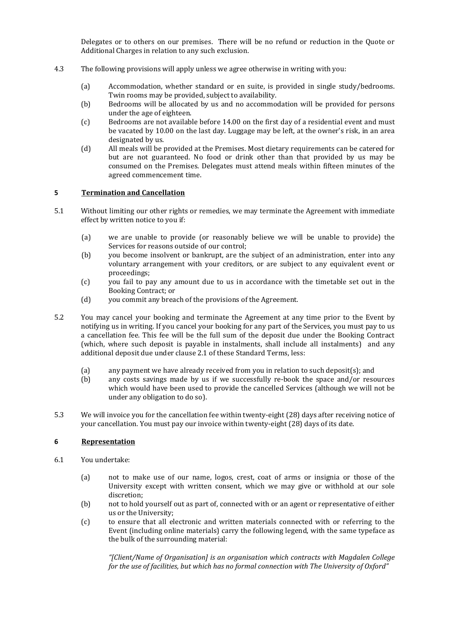Delegates or to others on our premises. There will be no refund or reduction in the Quote or Additional Charges in relation to any such exclusion.

- 4.3 The following provisions will apply unless we agree otherwise in writing with you:
	- (a) Accommodation, whether standard or en suite, is provided in single study/bedrooms. Twin rooms may be provided, subject to availability.
	- (b) Bedrooms will be allocated by us and no accommodation will be provided for persons under the age of eighteen.
	- (c) Bedrooms are not available before 14.00 on the first day of a residential event and must be vacated by 10.00 on the last day. Luggage may be left, at the owner's risk, in an area designated by us.
	- (d) All meals will be provided at the Premises. Most dietary requirements can be catered for but are not guaranteed. No food or drink other than that provided by us may be consumed on the Premises. Delegates must attend meals within fifteen minutes of the agreed commencement time.

#### **5 Termination and Cancellation**

- 5.1 Without limiting our other rights or remedies, we may terminate the Agreement with immediate effect by written notice to you if:
	- (a) we are unable to provide (or reasonably believe we will be unable to provide) the Services for reasons outside of our control;
	- (b) you become insolvent or bankrupt, are the subject of an administration, enter into any voluntary arrangement with your creditors, or are subject to any equivalent event or proceedings;
	- (c) you fail to pay any amount due to us in accordance with the timetable set out in the Booking Contract; or
	- (d) you commit any breach of the provisions of the Agreement.
- 5.2 You may cancel your booking and terminate the Agreement at any time prior to the Event by notifying us in writing. If you cancel your booking for any part of the Services, you must pay to us a cancellation fee. This fee will be the full sum of the deposit due under the Booking Contract (which, where such deposit is payable in instalments, shall include all instalments) and any additional deposit due under clause 2.1 of these Standard Terms, less:
	- (a) any payment we have already received from you in relation to such deposit(s); and
	- (b) any costs savings made by us if we successfully re-book the space and/or resources which would have been used to provide the cancelled Services (although we will not be under any obligation to do so).
- 5.3 We will invoice you for the cancellation fee within twenty-eight (28) days after receiving notice of your cancellation. You must pay our invoice within twenty-eight (28) days of its date.

## **6 Representation**

- 6.1 You undertake:
	- (a) not to make use of our name, logos, crest, coat of arms or insignia or those of the University except with written consent, which we may give or withhold at our sole discretion;
	- (b) not to hold yourself out as part of, connected with or an agent or representative of either us or the University;
	- (c) to ensure that all electronic and written materials connected with or referring to the Event (including online materials) carry the following legend, with the same typeface as the bulk of the surrounding material:

*"[Client/Name of Organisation] is an organisation which contracts with Magdalen College for the use of facilities, but which has no formal connection with The University of Oxford"*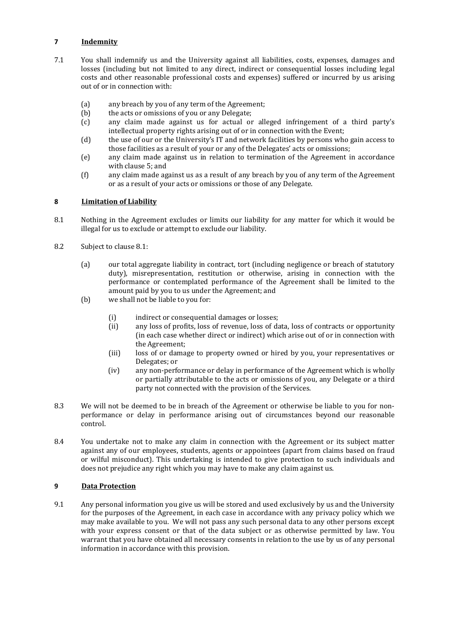# **7 Indemnity**

- 7.1 You shall indemnify us and the University against all liabilities, costs, expenses, damages and losses (including but not limited to any direct, indirect or consequential losses including legal costs and other reasonable professional costs and expenses) suffered or incurred by us arising out of or in connection with:
	- (a) any breach by you of any term of the Agreement;
	- (b) the acts or omissions of you or any Delegate;
	- (c) any claim made against us for actual or alleged infringement of a third party's intellectual property rights arising out of or in connection with the Event;
	- (d) the use of our or the University's IT and network facilities by persons who gain access to those facilities as a result of your or any of the Delegates' acts or omissions;
	- (e) any claim made against us in relation to termination of the Agreement in accordance with clause 5; and
	- (f) any claim made against us as a result of any breach by you of any term of the Agreement or as a result of your acts or omissions or those of any Delegate.

## **8 Limitation of Liability**

- 8.1 Nothing in the Agreement excludes or limits our liability for any matter for which it would be illegal for us to exclude or attempt to exclude our liability.
- 8.2 Subject to clause 8.1:
	- (a) our total aggregate liability in contract, tort (including negligence or breach of statutory duty), misrepresentation, restitution or otherwise, arising in connection with the performance or contemplated performance of the Agreement shall be limited to the amount paid by you to us under the Agreement; and
	- (b) we shall not be liable to you for:
		- (i) indirect or consequential damages or losses;
		- (ii) any loss of profits, loss of revenue, loss of data, loss of contracts or opportunity (in each case whether direct or indirect) which arise out of or in connection with the Agreement;
		- (iii) loss of or damage to property owned or hired by you, your representatives or Delegates; or
		- (iv) any non-performance or delay in performance of the Agreement which is wholly or partially attributable to the acts or omissions of you, any Delegate or a third party not connected with the provision of the Services.
- 8.3 We will not be deemed to be in breach of the Agreement or otherwise be liable to you for nonperformance or delay in performance arising out of circumstances beyond our reasonable control.
- 8.4 You undertake not to make any claim in connection with the Agreement or its subject matter against any of our employees, students, agents or appointees (apart from claims based on fraud or wilful misconduct). This undertaking is intended to give protection to such individuals and does not prejudice any right which you may have to make any claim against us.

#### **9 Data Protection**

9.1 Any personal information you give us will be stored and used exclusively by us and the University for the purposes of the Agreement, in each case in accordance with any privacy policy which we may make available to you. We will not pass any such personal data to any other persons except with your express consent or that of the data subject or as otherwise permitted by law. You warrant that you have obtained all necessary consents in relation to the use by us of any personal information in accordance with this provision.